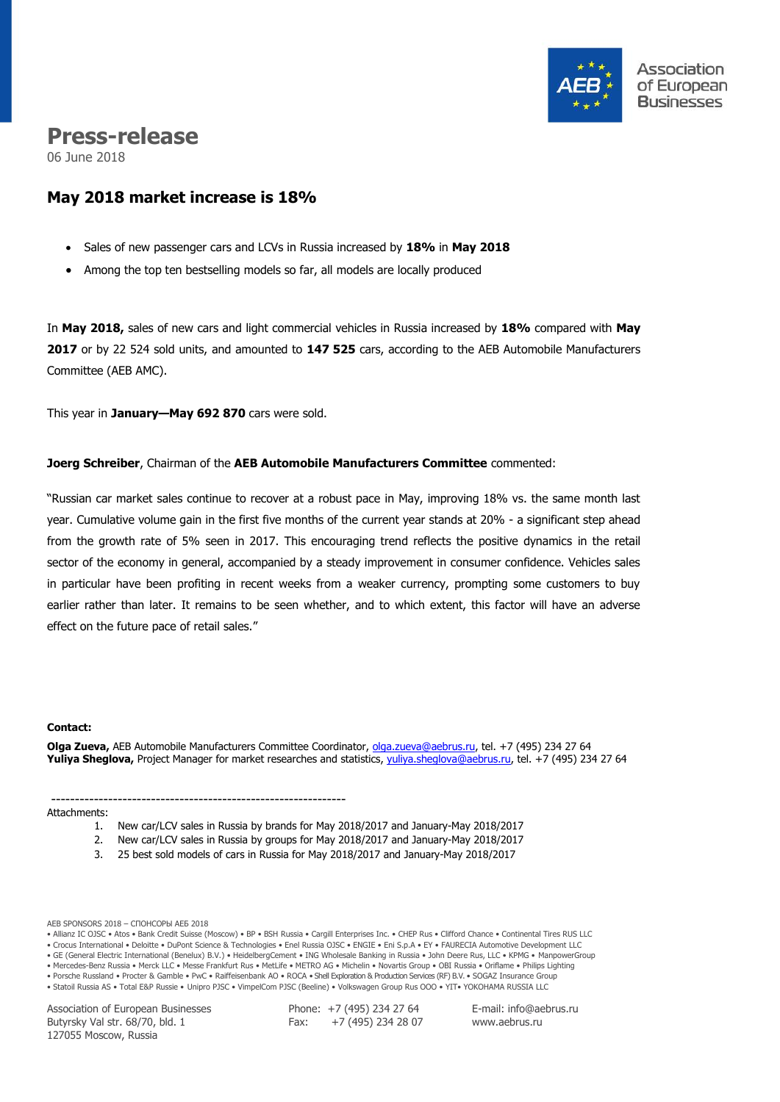

# **Press-release**

06 June 2018

## **May 2018 market increase is 18%**

- Sales of new passenger cars and LCVs in Russia increased by **18%** in **May 2018**
- Among the top ten bestselling models so far, all models are locally produced

In **May 2018,** sales of new cars and light commercial vehicles in Russia increased by **18%** compared with **May 2017** or by 22 524 sold units, and amounted to **147 525** cars, according to the AEB Automobile Manufacturers Committee (AEB AMC).

This year in **January—May 692 870** cars were sold.

--------------------------------------------------------------

### **Joerg Schreiber**, Chairman of the **AEB Automobile Manufacturers Committee** commented:

"Russian car market sales continue to recover at a robust pace in May, improving 18% vs. the same month last year. Cumulative volume gain in the first five months of the current year stands at 20% - a significant step ahead from the growth rate of 5% seen in 2017. This encouraging trend reflects the positive dynamics in the retail sector of the economy in general, accompanied by a steady improvement in consumer confidence. Vehicles sales in particular have been profiting in recent weeks from a weaker currency, prompting some customers to buy earlier rather than later. It remains to be seen whether, and to which extent, this factor will have an adverse effect on the future pace of retail sales."

#### **Сontact:**

**Olga Zueva,** AEB Automobile Manufacturers Committee Coordinator, [olga.zueva@aebrus.ru,](mailto:olga.zueva@aebrus.ru) tel. +7 (495) 234 27 64 **Yuliya Sheglova,** Project Manager for market researches and statistics, [yuliya.sheglova@aebrus.ru,](mailto:yuliya.sheglova@aebrus.ru) tel. +7 (495) 234 27 64

Attachments:

- 1. New car/LCV sales in Russia by brands for May 2018/2017 and January-May 2018/2017
- 2. New car/LCV sales in Russia by groups for May 2018/2017 and January-May 2018/2017
- 3. 25 best sold models of cars in Russia for May 2018/2017 and January-May 2018/2017

AEB SPONSORS 2018 – СПОНСОРЫ АЕБ 2018

• Allianz IC OJSC • Atos • Bank Credit Suisse (Moscow) • BP • BSH Russia • Cargill Enterprises Inc. • CHEP Rus • Clifford Chance • Continental Tires RUS LLC

• Crocus International • Deloitte • DuPont Science & Technologies • Enel Russia OJSC • ENGIE • Eni S.p.A • EY • FAURECIA Automotive Development LLC

• GE (General Electric International (Benelux) B.V.) • HeidelbergCement • ING Wholesale Banking in Russia • John Deere Rus, LLC • KPMG • ManpowerGroup • Mercedes-Benz Russia • Merck LLC • Messe Frankfurt Rus • MetLife • METRO AG • Michelin • Novartis Group • OBI Russia • Oriflame • Philips Lighting

• Porsche Russland • Procter & Gamble • PwC • Raiffeisenbank AO • ROCA • Shell Exploration & Production Services (RF) B.V. • SOGAZ Insurance Group

• Statoil Russia AS • Total E&P Russie • Unipro PJSC • VimpelCom PJSC (Beeline) • Volkswagen Group Rus OOO • YIT• YOKOHAMA RUSSIA LLC

Association of European Businesses Butyrsky Val str. 68/70, bld. 1 127055 Moscow, Russia

Phone: +7 (495) 234 27 64 Fax:  $+7(495)$  234 28 07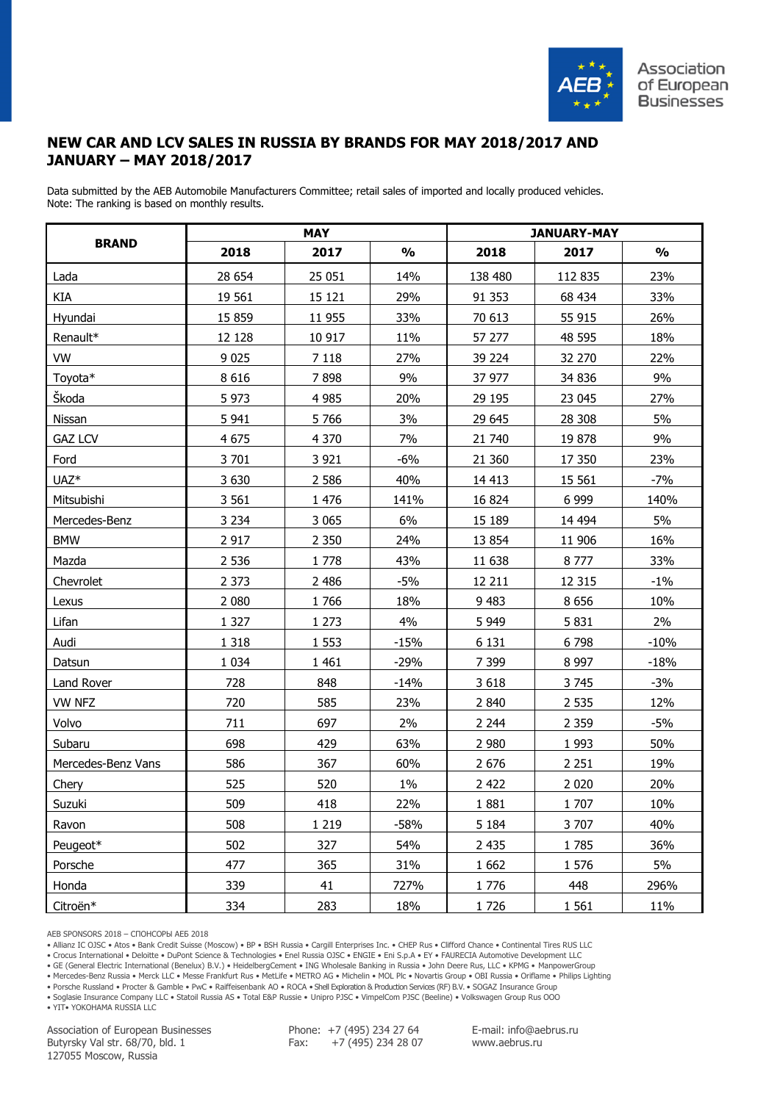

### **NEW CAR AND LCV SALES IN RUSSIA BY BRANDS FOR MAY 2018/2017 AND JANUARY – MAY 2018/2017**

Data submitted by the AEB Automobile Manufacturers Committee; retail sales of imported and locally produced vehicles. Note: The ranking is based on monthly results.

|                    |         | <b>MAY</b> |               |         | <b>JANUARY-MAY</b> |               |
|--------------------|---------|------------|---------------|---------|--------------------|---------------|
| <b>BRAND</b>       | 2018    | 2017       | $\frac{1}{2}$ | 2018    | 2017               | $\frac{1}{2}$ |
| Lada               | 28 654  | 25 051     | 14%           | 138 480 | 112 835            | 23%           |
| KIA                | 19 561  | 15 1 21    | 29%           | 91 353  | 68 434             | 33%           |
| Hyundai            | 15 8 59 | 11 955     | 33%           | 70 613  | 55 915             | 26%           |
| Renault*           | 12 128  | 10 917     | 11%           | 57 277  | 48 595             | 18%           |
| <b>VW</b>          | 9 0 2 5 | 7 1 1 8    | 27%           | 39 2 24 | 32 270             | 22%           |
| Toyota*            | 8616    | 7898       | 9%            | 37 977  | 34 836             | 9%            |
| Škoda              | 5973    | 4 9 8 5    | 20%           | 29 195  | 23 045             | 27%           |
| Nissan             | 5 9 4 1 | 5766       | 3%            | 29 645  | 28 308             | 5%            |
| <b>GAZ LCV</b>     | 4 6 7 5 | 4 3 7 0    | 7%            | 21 740  | 19878              | 9%            |
| Ford               | 3 701   | 3 9 21     | $-6%$         | 21 360  | 17 350             | 23%           |
| UAZ <sup>*</sup>   | 3 6 3 0 | 2 5 8 6    | 40%           | 14 4 13 | 15 5 61            | $-7%$         |
| Mitsubishi         | 3 5 6 1 | 1 4 7 6    | 141%          | 16 824  | 6 9 9 9            | 140%          |
| Mercedes-Benz      | 3 2 3 4 | 3 0 6 5    | 6%            | 15 189  | 14 4 94            | 5%            |
| <b>BMW</b>         | 2 9 1 7 | 2 3 5 0    | 24%           | 13 8 54 | 11 906             | 16%           |
| Mazda              | 2 5 3 6 | 1778       | 43%           | 11 638  | 8777               | 33%           |
| Chevrolet          | 2 3 7 3 | 2 4 8 6    | -5%           | 12 211  | 12 3 15            | $-1\%$        |
| Lexus              | 2 0 8 0 | 1766       | 18%           | 9 4 8 3 | 8 6 5 6            | 10%           |
| Lifan              | 1 3 2 7 | 1 2 7 3    | 4%            | 5 9 4 9 | 5831               | 2%            |
| Audi               | 1 3 1 8 | 1 5 5 3    | $-15%$        | 6 1 3 1 | 6798               | $-10%$        |
| Datsun             | 1 0 3 4 | 1 4 6 1    | $-29%$        | 7 3 9 9 | 8 9 9 7            | $-18%$        |
| Land Rover         | 728     | 848        | $-14%$        | 3 6 18  | 3745               | $-3%$         |
| <b>VW NFZ</b>      | 720     | 585        | 23%           | 2 8 4 0 | 2 5 3 5            | 12%           |
| Volvo              | 711     | 697        | 2%            | 2 2 4 4 | 2 3 5 9            | $-5%$         |
| Subaru             | 698     | 429        | 63%           | 2 9 8 0 | 1993               | 50%           |
| Mercedes-Benz Vans | 586     | 367        | 60%           | 2 6 7 6 | 2 2 5 1            | 19%           |
| Chery              | 525     | 520        | $1\%$         | 2 4 2 2 | 2 0 2 0            | 20%           |
| Suzuki             | 509     | 418        | 22%           | 1881    | 1707               | 10%           |
| Ravon              | 508     | 1 2 1 9    | $-58%$        | 5 1 8 4 | 3707               | 40%           |
| Peugeot*           | 502     | 327        | 54%           | 2 4 3 5 | 1785               | 36%           |
| Porsche            | 477     | 365        | 31%           | 1 6 6 2 | 1 576              | 5%            |
| Honda              | 339     | 41         | 727%          | 1776    | 448                | 296%          |
| Citroën*           | 334     | 283        | 18%           | 1726    | 1 5 6 1            | 11%           |

AEB SPONSORS 2018 – СПОНСОРЫ АЕБ 2018

• Allianz IC OJSC • Atos • Bank Credit Suisse (Moscow) • BP • BSH Russia • Cargill Enterprises Inc. • CHEP Rus • Clifford Chance • Continental Tires RUS LLC

• Crocus International • Deloitte • DuPont Science & Technologies • Enel Russia OJSC • ENGIE • Eni S.p.A • EY • FAURECIA Automotive Development LLC

• GE (General Electric International (Benelux) B.V.) • HeidelbergCement • ING Wholesale Banking in Russia • John Deere Rus, LLC • KPMG • ManpowerGroup

• Mercedes-Benz Russia • Merck LLC • Messe Frankfurt Rus • MetLife • METRO AG • Michelin • MOL Plc • Novartis Group • OBI Russia • Oriflame • Philips Lighting

• Porsche Russland • Procter & Gamble • PwC • Raiffeisenbank AO • ROCA • Shell Exploration & Production Services (RF) B.V. • SOGAZ Insurance Group • Soglasie Insurance Company LLC • Statoil Russia AS • Total E&P Russie • Unipro PJSC • VimpelCom PJSC (Beeline) • Volkswagen Group Rus OOO

• YIT• YOKOHAMA RUSSIA LLC

Association of European Businesses Butyrsky Val str. 68/70, bld. 1 127055 Moscow, Russia

Phone: +7 (495) 234 27 64 Fax: +7 (495) 234 28 07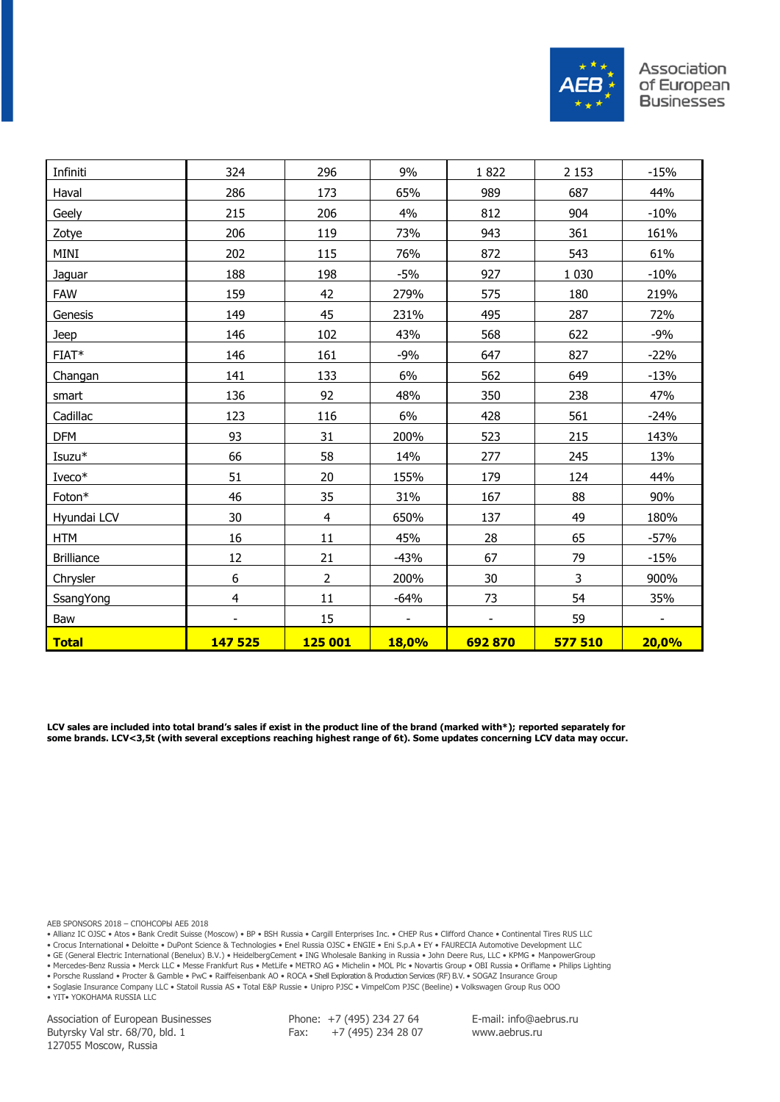

| Infiniti          | 324              | 296            | 9%             | 1822           | 2 1 5 3 | $-15%$                   |
|-------------------|------------------|----------------|----------------|----------------|---------|--------------------------|
| Haval             | 286              | 173            | 65%            | 989            | 687     | 44%                      |
| Geely             | 215              | 206            | 4%             | 812            | 904     | $-10%$                   |
| Zotye             | 206              | 119            | 73%            | 943            | 361     | 161%                     |
| MINI              | 202              | 115            | 76%            | 872            | 543     | 61%                      |
| Jaguar            | 188              | 198            | $-5%$          | 927            | 1 0 3 0 | $-10%$                   |
| <b>FAW</b>        | 159              | 42             | 279%           | 575            | 180     | 219%                     |
| Genesis           | 149              | 45             | 231%           | 495            | 287     | 72%                      |
| Jeep              | 146              | 102            | 43%            | 568            | 622     | $-9%$                    |
| $FIAT*$           | 146              | 161            | $-9%$          | 647            | 827     | $-22%$                   |
| Changan           | 141              | 133            | 6%             | 562            | 649     | $-13%$                   |
| smart             | 136              | 92             | 48%            | 350            | 238     | 47%                      |
| Cadillac          | 123              | 116            | 6%             | 428            | 561     | $-24%$                   |
| <b>DFM</b>        | 93               | 31             | 200%           | 523            | 215     | 143%                     |
| Isuzu*            | 66               | 58             | 14%            | 277            | 245     | 13%                      |
| Iveco*            | 51               | 20             | 155%           | 179            | 124     | 44%                      |
| Foton*            | 46               | 35             | 31%            | 167            | 88      | 90%                      |
| Hyundai LCV       | 30               | $\overline{4}$ | 650%           | 137            | 49      | 180%                     |
| <b>HTM</b>        | 16               | 11             | 45%            | 28             | 65      | $-57%$                   |
| <b>Brilliance</b> | 12               | 21             | $-43%$         | 67             | 79      | $-15%$                   |
| Chrysler          | $\boldsymbol{6}$ | $\overline{2}$ | 200%           | $30\,$         | 3       | 900%                     |
| SsangYong         | $\overline{4}$   | 11             | $-64%$         | 73             | 54      | 35%                      |
| Baw               |                  | 15             | $\blacksquare$ | $\blacksquare$ | 59      | $\overline{\phantom{a}}$ |
| <b>Total</b>      | 147 525          | <b>125 001</b> | <b>18,0%</b>   | 692870         | 577 510 | 20,0%                    |

**LCV sales are included into total brand's sales if exist in the product line of the brand (marked with\*); reported separately for some brands. LCV<3,5t (with several exceptions reaching highest range of 6t). Some updates concerning LCV data may occur.**

AEB SPONSORS 2018 – СПОНСОРЫ АЕБ 2018

• Allianz IC OJSC • Atos • Bank Credit Suisse (Moscow) • BP • BSH Russia • Cargill Enterprises Inc. • CHEP Rus • Clifford Chance • Continental Tires RUS LLC

• Crocus International • Deloitte • DuPont Science & Technologies • Enel Russia OJSC • ENGIE • Eni S.p.A • EY • FAURECIA Automotive Development LLC

• GE (General Electric International (Benelux) B.V.) • HeidelbergCement • ING Wholesale Banking in Russia • John Deere Rus, LLC • KPMG • ManpowerGroup

• Mercedes-Benz Russia • Merck LLC • Messe Frankfurt Rus • MetLife • METRO AG • Michelin • MOL Plc • Novartis Group • OBI Russia • Oriflame • Philips Lighting

• Porsche Russland • Procter & Gamble • PwC • Raiffeisenbank AO • ROCA • Shell Exploration & Production Services (RF) B.V. • SOGAZ Insurance Group • Soglasie Insurance Company LLC • Statoil Russia AS • Total E&P Russie • Unipro PJSC • VimpelCom PJSC (Beeline) • Volkswagen Group Rus OOO

• YIT• YOKOHAMA RUSSIA LLC

Association of European Businesses Butyrsky Val str. 68/70, bld. 1 127055 Moscow, Russia

Phone: +7 (495) 234 27 64 Fax:  $+7(495)$  234 28 07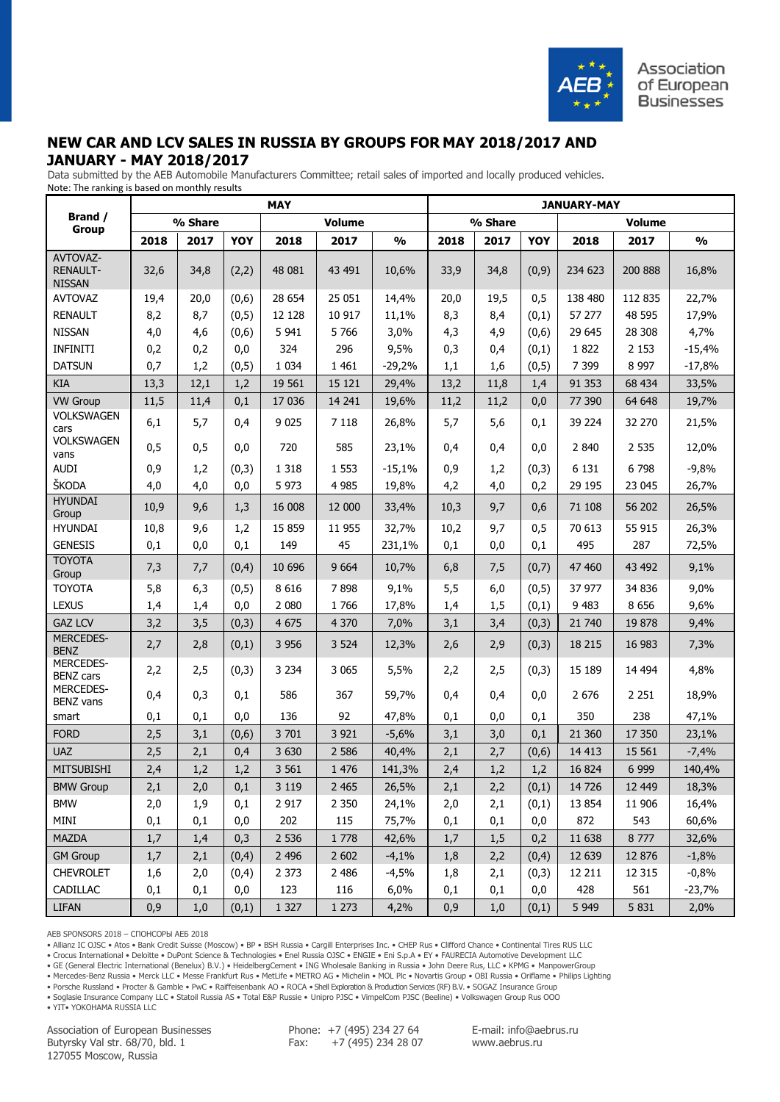

### **NEW CAR AND LCV SALES IN RUSSIA BY GROUPS FOR MAY 2018/2017 AND JANUARY - MAY 2018/2017**

 Data submitted by the AEB Automobile Manufacturers Committee; retail sales of imported and locally produced vehicles. Note: The ranking is based on monthly results

|                                              | <b>MAY</b> |         |        |         |               |               |      | <b>JANUARY-MAY</b> |       |         |                                                                                                                                                                                                                                                                                     |               |  |  |
|----------------------------------------------|------------|---------|--------|---------|---------------|---------------|------|--------------------|-------|---------|-------------------------------------------------------------------------------------------------------------------------------------------------------------------------------------------------------------------------------------------------------------------------------------|---------------|--|--|
| Brand /<br><b>Group</b>                      |            | % Share |        |         | <b>Volume</b> |               |      | % Share            |       |         | <b>Volume</b><br>2017<br>2018<br>200 888<br>234 623<br>138 480<br>112 835<br>57 277<br>48 595<br>29 645<br>28 308<br>1822<br>2 1 5 3<br>7 3 9 9<br>8 9 9 7<br>91 353<br>68 434<br>77 390<br>64 648<br>39 224<br>32 270<br>2 8 4 0<br>2 5 3 5<br>6 1 3 1<br>6798<br>29 195<br>23 045 |               |  |  |
|                                              | 2018       | 2017    | YOY    | 2018    | 2017          | $\frac{0}{0}$ | 2018 | 2017               | YOY   |         |                                                                                                                                                                                                                                                                                     | $\frac{0}{0}$ |  |  |
| AVTOVAZ-<br><b>RENAULT-</b><br><b>NISSAN</b> | 32,6       | 34,8    | (2,2)  | 48 081  | 43 491        | 10,6%         | 33,9 | 34,8               | (0,9) |         |                                                                                                                                                                                                                                                                                     | 16,8%         |  |  |
| <b>AVTOVAZ</b>                               | 19,4       | 20,0    | (0,6)  | 28 654  | 25 051        | 14,4%         | 20,0 | 19,5               | 0,5   |         |                                                                                                                                                                                                                                                                                     | 22,7%         |  |  |
| <b>RENAULT</b>                               | 8,2        | 8,7     | (0,5)  | 12 1 28 | 10 917        | 11,1%         | 8,3  | 8,4                | (0,1) |         |                                                                                                                                                                                                                                                                                     | 17,9%         |  |  |
| <b>NISSAN</b>                                | 4,0        | 4,6     | (0,6)  | 5 9 4 1 | 5 7 6 6       | 3,0%          | 4,3  | 4,9                | (0,6) |         |                                                                                                                                                                                                                                                                                     | 4,7%          |  |  |
| <b>INFINITI</b>                              | 0,2        | 0,2     | 0,0    | 324     | 296           | 9,5%          | 0,3  | 0,4                | (0,1) |         |                                                                                                                                                                                                                                                                                     | $-15,4%$      |  |  |
| <b>DATSUN</b>                                | 0,7        | 1,2     | (0, 5) | 1 0 3 4 | 1 4 6 1       | $-29,2%$      | 1,1  | 1,6                | (0,5) |         |                                                                                                                                                                                                                                                                                     | $-17,8%$      |  |  |
| <b>KIA</b>                                   | 13,3       | 12,1    | 1,2    | 19 561  | 15 121        | 29,4%         | 13,2 | 11,8               | 1,4   |         |                                                                                                                                                                                                                                                                                     | 33,5%         |  |  |
| <b>VW Group</b>                              | 11,5       | 11,4    | 0,1    | 17 036  | 14 241        | 19,6%         | 11,2 | 11,2               | 0,0   |         |                                                                                                                                                                                                                                                                                     | 19,7%         |  |  |
| VOLKSWAGEN<br>cars                           | 6,1        | 5,7     | 0,4    | 9 0 2 5 | 7 1 1 8       | 26,8%         | 5,7  | 5,6                | 0,1   |         |                                                                                                                                                                                                                                                                                     | 21,5%         |  |  |
| <b>VOLKSWAGEN</b><br>vans                    | 0,5        | 0, 5    | 0,0    | 720     | 585           | 23,1%         | 0,4  | 0,4                | 0,0   |         |                                                                                                                                                                                                                                                                                     | 12,0%         |  |  |
| <b>AUDI</b>                                  | 0,9        | 1,2     | (0,3)  | 1 3 1 8 | 1 5 5 3       | $-15,1%$      | 0,9  | 1,2                | (0,3) |         |                                                                                                                                                                                                                                                                                     | $-9,8%$       |  |  |
| ŠKODA                                        | 4,0        | 4,0     | 0,0    | 5 9 7 3 | 4 9 8 5       | 19,8%         | 4,2  | 4,0                | 0,2   |         |                                                                                                                                                                                                                                                                                     | 26,7%         |  |  |
| <b>HYUNDAI</b><br>Group                      | 10,9       | 9,6     | 1,3    | 16 008  | 12 000        | 33,4%         | 10,3 | 9,7                | 0,6   | 71 108  | 56 202                                                                                                                                                                                                                                                                              | 26,5%         |  |  |
| <b>HYUNDAI</b>                               | 10,8       | 9,6     | 1,2    | 15 8 59 | 11 955        | 32,7%         | 10,2 | 9,7                | 0,5   | 70 613  | 55 915                                                                                                                                                                                                                                                                              | 26,3%         |  |  |
| <b>GENESIS</b>                               | 0,1        | 0,0     | 0,1    | 149     | 45            | 231,1%        | 0,1  | 0,0                | 0,1   | 495     | 287                                                                                                                                                                                                                                                                                 | 72,5%         |  |  |
| <b>TOYOTA</b><br>Group                       | 7,3        | 7,7     | (0,4)  | 10 696  | 9 6 6 4       | 10,7%         | 6,8  | 7,5                | (0,7) | 47 460  | 43 492                                                                                                                                                                                                                                                                              | 9,1%          |  |  |
| <b>TOYOTA</b>                                | 5,8        | 6,3     | (0,5)  | 8 6 1 6 | 7898          | 9,1%          | 5,5  | 6,0                | (0,5) | 37 977  | 34 836                                                                                                                                                                                                                                                                              | 9,0%          |  |  |
| <b>LEXUS</b>                                 | 1,4        | 1,4     | 0,0    | 2 0 8 0 | 1766          | 17,8%         | 1,4  | 1,5                | (0,1) | 9 4 8 3 | 8 6 5 6                                                                                                                                                                                                                                                                             | 9,6%          |  |  |
| <b>GAZ LCV</b>                               | 3,2        | 3,5     | (0,3)  | 4 6 7 5 | 4 3 7 0       | 7,0%          | 3,1  | 3,4                | (0,3) | 21 740  | 19878                                                                                                                                                                                                                                                                               | 9,4%          |  |  |
| <b>MERCEDES-</b><br><b>BENZ</b>              | 2,7        | 2,8     | (0,1)  | 3 9 5 6 | 3 5 24        | 12,3%         | 2,6  | 2,9                | (0,3) | 18 215  | 16 983                                                                                                                                                                                                                                                                              | 7,3%          |  |  |
| MERCEDES-<br><b>BENZ cars</b>                | 2,2        | 2,5     | (0,3)  | 3 2 3 4 | 3 065         | 5,5%          | 2,2  | 2,5                | (0,3) | 15 189  | 14 494                                                                                                                                                                                                                                                                              | 4,8%          |  |  |
| <b>MERCEDES-</b><br><b>BENZ</b> vans         | 0,4        | 0,3     | 0,1    | 586     | 367           | 59,7%         | 0,4  | 0,4                | 0,0   | 2676    | 2 2 5 1                                                                                                                                                                                                                                                                             | 18,9%         |  |  |
| smart                                        | 0,1        | 0,1     | 0,0    | 136     | 92            | 47,8%         | 0,1  | 0,0                | 0,1   | 350     | 238                                                                                                                                                                                                                                                                                 | 47,1%         |  |  |
| <b>FORD</b>                                  | 2,5        | 3,1     | (0,6)  | 3 701   | 3 9 2 1       | $-5,6%$       | 3,1  | 3,0                | 0,1   | 21 360  | 17 350                                                                                                                                                                                                                                                                              | 23,1%         |  |  |
| <b>UAZ</b>                                   | 2,5        | 2,1     | 0,4    | 3 6 3 0 | 2 5 8 6       | 40,4%         | 2,1  | 2,7                | (0,6) | 14 4 13 | 15 5 61                                                                                                                                                                                                                                                                             | $-7,4%$       |  |  |
| <b>MITSUBISHI</b>                            | 2,4        | 1,2     | 1,2    | 3 5 6 1 | 1 476         | 141,3%        | 2,4  | 1,2                | 1,2   | 16 824  | 6 9 9 9                                                                                                                                                                                                                                                                             | 140,4%        |  |  |
| <b>BMW Group</b>                             | 2,1        | $2,0$   | 0,1    | 3 1 1 9 | 2 4 6 5       | 26,5%         | 2,1  | 2,2                | (0,1) | 14 7 26 | 12 449                                                                                                                                                                                                                                                                              | 18,3%         |  |  |
| <b>BMW</b>                                   | 2,0        | 1,9     | 0,1    | 2 9 1 7 | 2 3 5 0       | 24,1%         | 2,0  | 2,1                | (0,1) | 13 8 54 | 11 906                                                                                                                                                                                                                                                                              | 16,4%         |  |  |
| MINI                                         | 0,1        | 0,1     | 0,0    | 202     | 115           | 75,7%         | 0,1  | 0,1                | 0,0   | 872     | 543                                                                                                                                                                                                                                                                                 | 60,6%         |  |  |
| <b>MAZDA</b>                                 | 1,7        | 1,4     | 0,3    | 2 5 3 6 | 1 7 7 8       | 42,6%         | 1,7  | 1,5                | 0,2   | 11 638  | 8777                                                                                                                                                                                                                                                                                | 32,6%         |  |  |
| <b>GM Group</b>                              | 1,7        | 2,1     | (0,4)  | 2 4 9 6 | 2 6 0 2       | $-4,1%$       | 1,8  | 2,2                | (0,4) | 12 639  | 12 876                                                                                                                                                                                                                                                                              | $-1,8%$       |  |  |
| <b>CHEVROLET</b>                             | 1,6        | 2,0     | (0,4)  | 2 3 7 3 | 2 4 8 6       | $-4,5%$       | 1,8  | 2,1                | (0,3) | 12 211  | 12 3 15                                                                                                                                                                                                                                                                             | $-0,8%$       |  |  |
| CADILLAC                                     | 0,1        | 0,1     | 0,0    | 123     | 116           | 6,0%          | 0,1  | 0,1                | 0,0   | 428     | 561                                                                                                                                                                                                                                                                                 | $-23,7%$      |  |  |
| <b>LIFAN</b>                                 | 0,9        | 1,0     | (0,1)  | 1 3 2 7 | 1 2 7 3       | 4,2%          | 0,9  | 1,0                | (0,1) | 5 9 4 9 | 5 8 3 1                                                                                                                                                                                                                                                                             | 2,0%          |  |  |

AEB SPONSORS 2018 – СПОНСОРЫ АЕБ 2018

• Allianz IC OJSC • Atos • Bank Credit Suisse (Moscow) • BP • BSH Russia • Cargill Enterprises Inc. • CHEP Rus • Clifford Chance • Continental Tires RUS LLC

• Crocus International • Deloitte • DuPont Science & Technologies • Enel Russia OJSC • ENGIE • Eni S.p.A • EY • FAURECIA Automotive Development LLC

• GE (General Electric International (Benelux) B.V.) • HeidelbergCement • ING Wholesale Banking in Russia • John Deere Rus, LLC • KPMG • ManpowerGroup

• Mercedes-Benz Russia • Merck LLC • Messe Frankfurt Rus • MetLife • METRO AG • Michelin • MOL Plc • Novartis Group • OBI Russia • Oriflame • Philips Lighting

• Porsche Russland • Procter & Gamble • PwC • Raiffeisenbank AO • ROCA • Shell Exploration & Production Services (RF) B.V. • SOGAZ Insurance Group • Soglasie Insurance Company LLC • Statoil Russia AS • Total E&P Russie • Unipro PJSC • VimpelCom PJSC (Beeline) • Volkswagen Group Rus OOO

• YIT• YOKOHAMA RUSSIA LLC

Association of European Businesses Butyrsky Val str. 68/70, bld. 1 127055 Moscow, Russia

Phone: +7 (495) 234 27 64 Fax: +7 (495) 234 28 07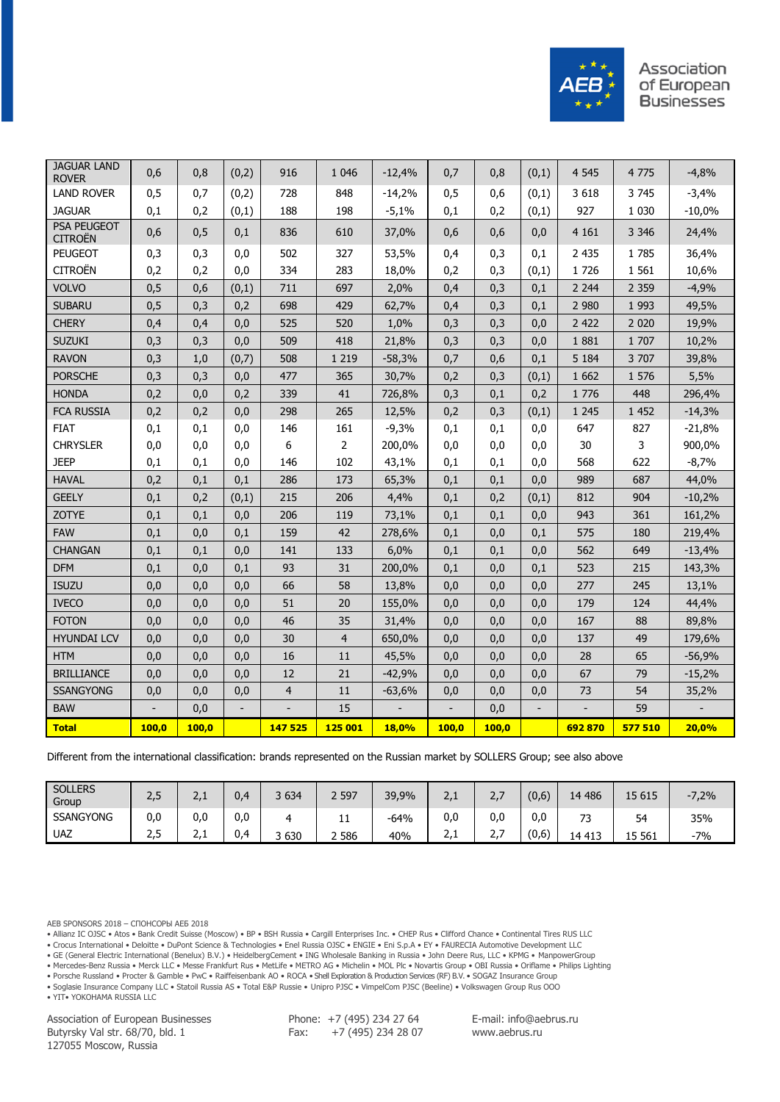

| <b>JAGUAR LAND</b><br><b>ROVER</b>   | 0,6   | 0,8   | (0,2) | 916     | 1 0 4 6        | $-12,4%$     | 0,7   | 0,8   | (0,1) | 4 5 4 5 | 4775    | $-4,8%$  |
|--------------------------------------|-------|-------|-------|---------|----------------|--------------|-------|-------|-------|---------|---------|----------|
| <b>LAND ROVER</b>                    | 0,5   | 0,7   | (0,2) | 728     | 848            | $-14,2%$     | 0,5   | 0,6   | (0,1) | 3 6 18  | 3745    | $-3,4%$  |
| <b>JAGUAR</b>                        | 0,1   | 0,2   | (0,1) | 188     | 198            | $-5,1%$      | 0,1   | 0,2   | (0,1) | 927     | 1 0 3 0 | $-10,0%$ |
| <b>PSA PEUGEOT</b><br><b>CITROËN</b> | 0,6   | 0,5   | 0,1   | 836     | 610            | 37,0%        | 0,6   | 0,6   | 0,0   | 4 1 6 1 | 3 3 4 6 | 24,4%    |
| <b>PEUGEOT</b>                       | 0,3   | 0,3   | 0,0   | 502     | 327            | 53,5%        | 0,4   | 0,3   | 0,1   | 2 4 3 5 | 1785    | 36,4%    |
| <b>CITROËN</b>                       | 0,2   | 0,2   | 0,0   | 334     | 283            | 18,0%        | 0,2   | 0,3   | (0,1) | 1726    | 1 5 6 1 | 10,6%    |
| <b>VOLVO</b>                         | 0,5   | 0,6   | (0,1) | 711     | 697            | 2,0%         | 0,4   | 0,3   | 0,1   | 2 2 4 4 | 2 3 5 9 | $-4,9%$  |
| <b>SUBARU</b>                        | 0,5   | 0,3   | 0,2   | 698     | 429            | 62,7%        | 0,4   | 0,3   | 0,1   | 2 9 8 0 | 1 9 9 3 | 49,5%    |
| <b>CHERY</b>                         | 0,4   | 0,4   | 0,0   | 525     | 520            | 1,0%         | 0,3   | 0,3   | 0,0   | 2 4 2 2 | 2 0 2 0 | 19,9%    |
| <b>SUZUKI</b>                        | 0,3   | 0,3   | 0,0   | 509     | 418            | 21,8%        | 0,3   | 0,3   | 0,0   | 1881    | 1 707   | 10,2%    |
| <b>RAVON</b>                         | 0,3   | 1,0   | (0,7) | 508     | 1 2 1 9        | $-58,3%$     | 0,7   | 0,6   | 0,1   | 5 1 8 4 | 3 707   | 39,8%    |
| <b>PORSCHE</b>                       | 0,3   | 0,3   | 0,0   | 477     | 365            | 30,7%        | 0,2   | 0,3   | (0,1) | 1 6 6 2 | 1 576   | 5,5%     |
| <b>HONDA</b>                         | 0,2   | 0,0   | 0,2   | 339     | 41             | 726,8%       | 0,3   | 0,1   | 0,2   | 1 7 7 6 | 448     | 296,4%   |
| <b>FCA RUSSIA</b>                    | 0,2   | 0,2   | 0,0   | 298     | 265            | 12,5%        | 0,2   | 0,3   | (0,1) | 1 2 4 5 | 1 4 5 2 | $-14,3%$ |
| <b>FIAT</b>                          | 0,1   | 0,1   | 0,0   | 146     | 161            | $-9,3%$      | 0,1   | 0,1   | 0,0   | 647     | 827     | $-21,8%$ |
| <b>CHRYSLER</b>                      | 0,0   | 0,0   | 0,0   | 6       | $\overline{2}$ | 200,0%       | 0,0   | 0,0   | 0,0   | 30      | 3       | 900,0%   |
| <b>JEEP</b>                          | 0,1   | 0,1   | 0,0   | 146     | 102            | 43,1%        | 0,1   | 0,1   | 0,0   | 568     | 622     | $-8,7%$  |
| <b>HAVAL</b>                         | 0,2   | 0,1   | 0,1   | 286     | 173            | 65,3%        | 0,1   | 0,1   | 0,0   | 989     | 687     | 44,0%    |
| <b>GEELY</b>                         | 0,1   | 0,2   | (0,1) | 215     | 206            | 4,4%         | 0,1   | 0,2   | (0,1) | 812     | 904     | $-10,2%$ |
| <b>ZOTYE</b>                         | 0,1   | 0,1   | 0,0   | 206     | 119            | 73,1%        | 0,1   | 0,1   | 0,0   | 943     | 361     | 161,2%   |
| <b>FAW</b>                           | 0,1   | 0,0   | 0,1   | 159     | 42             | 278,6%       | 0,1   | 0,0   | 0,1   | 575     | 180     | 219,4%   |
| <b>CHANGAN</b>                       | 0,1   | 0,1   | 0,0   | 141     | 133            | 6,0%         | 0,1   | 0,1   | 0,0   | 562     | 649     | $-13,4%$ |
| <b>DFM</b>                           | 0,1   | 0,0   | 0,1   | 93      | 31             | 200,0%       | 0,1   | 0,0   | 0,1   | 523     | 215     | 143,3%   |
| <b>ISUZU</b>                         | 0,0   | 0,0   | 0,0   | 66      | 58             | 13,8%        | 0,0   | 0,0   | 0,0   | 277     | 245     | 13,1%    |
| <b>IVECO</b>                         | 0,0   | 0,0   | 0,0   | 51      | 20             | 155,0%       | 0,0   | 0,0   | 0,0   | 179     | 124     | 44,4%    |
| <b>FOTON</b>                         | 0,0   | 0,0   | 0,0   | 46      | 35             | 31,4%        | 0,0   | 0,0   | 0,0   | 167     | 88      | 89,8%    |
| <b>HYUNDAI LCV</b>                   | 0,0   | 0,0   | 0,0   | 30      | 4              | 650,0%       | 0,0   | 0,0   | 0,0   | 137     | 49      | 179,6%   |
| <b>HTM</b>                           | 0,0   | 0,0   | 0,0   | 16      | 11             | 45,5%        | 0,0   | 0,0   | 0,0   | 28      | 65      | $-56,9%$ |
| <b>BRILLIANCE</b>                    | 0,0   | 0,0   | 0,0   | 12      | 21             | $-42,9%$     | 0,0   | 0,0   | 0,0   | 67      | 79      | $-15,2%$ |
| <b>SSANGYONG</b>                     | 0,0   | 0,0   | 0,0   | 4       | 11             | $-63,6%$     | 0,0   | 0,0   | 0,0   | 73      | 54      | 35,2%    |
| <b>BAW</b>                           |       | 0,0   |       |         | 15             |              |       | 0,0   |       |         | 59      |          |
| <b>Total</b>                         | 100,0 | 100,0 |       | 147 525 | 125 001        | <b>18,0%</b> | 100,0 | 100,0 |       | 692870  | 577 510 | 20,0%    |
|                                      |       |       |       |         |                |              |       |       |       |         |         |          |

Different from the international classification: brands represented on the Russian market by SOLLERS Group; see also above

| <b>SOLLERS</b><br>Group |      | <u>.</u>    | 0.4 | 3 6 3 4    | 2 5 9 7 | 39,9%  | $\sim$<br>ᅩ |          | (0.6) | 14 48 6                       | 15 615 | $-7,2%$ |
|-------------------------|------|-------------|-----|------------|---------|--------|-------------|----------|-------|-------------------------------|--------|---------|
| <b>SSANGYONG</b>        | 0,0  | 0.0         | 0.0 |            | ᆠᆂ      | $-64%$ | 0,0         | 0,0      | 0.0   | $\overline{\phantom{a}}$<br>- | 54     | 35%     |
| <b>UAZ</b>              | ے رے | <u>_, _</u> | 0.4 | 630 ن<br>- | 2 5 8 6 | 40%    | ∽<br>⊥ ہے   | <u>.</u> | (0,6) | 14 413                        | 15 561 | $-7%$   |

AEB SPONSORS 2018 – СПОНСОРЫ АЕБ 2018

• Allianz IC OJSC • Atos • Bank Credit Suisse (Moscow) • BP • BSH Russia • Cargill Enterprises Inc. • CHEP Rus • Clifford Chance • Continental Tires RUS LLC

• Crocus International • Deloitte • DuPont Science & Technologies • Enel Russia OJSC • ENGIE • Eni S.p.A • EY • FAURECIA Automotive Development LLC

• GE (General Electric International (Benelux) B.V.) • HeidelbergCement • ING Wholesale Banking in Russia • John Deere Rus, LLC • KPMG • ManpowerGroup

• Mercedes-Benz Russia • Merck LLC • Messe Frankfurt Rus • MetLife • METRO AG • Michelin • MOL Plc • Novartis Group • OBI Russia • Oriflame • Philips Lighting

• Porsche Russland • Procter & Gamble • PwC • Raiffeisenbank AO • ROCA • Shell Exploration & Production Services (RF) B.V. • SOGAZ Insurance Group • Soglasie Insurance Company LLC • Statoil Russia AS • Total E&P Russie • Unipro PJSC • VimpelCom PJSC (Beeline) • Volkswagen Group Rus OOO

• YIT• YOKOHAMA RUSSIA LLC

Association of European Businesses Butyrsky Val str. 68/70, bld. 1 127055 Moscow, Russia

Phone: +7 (495) 234 27 64 Fax: +7 (495) 234 28 07